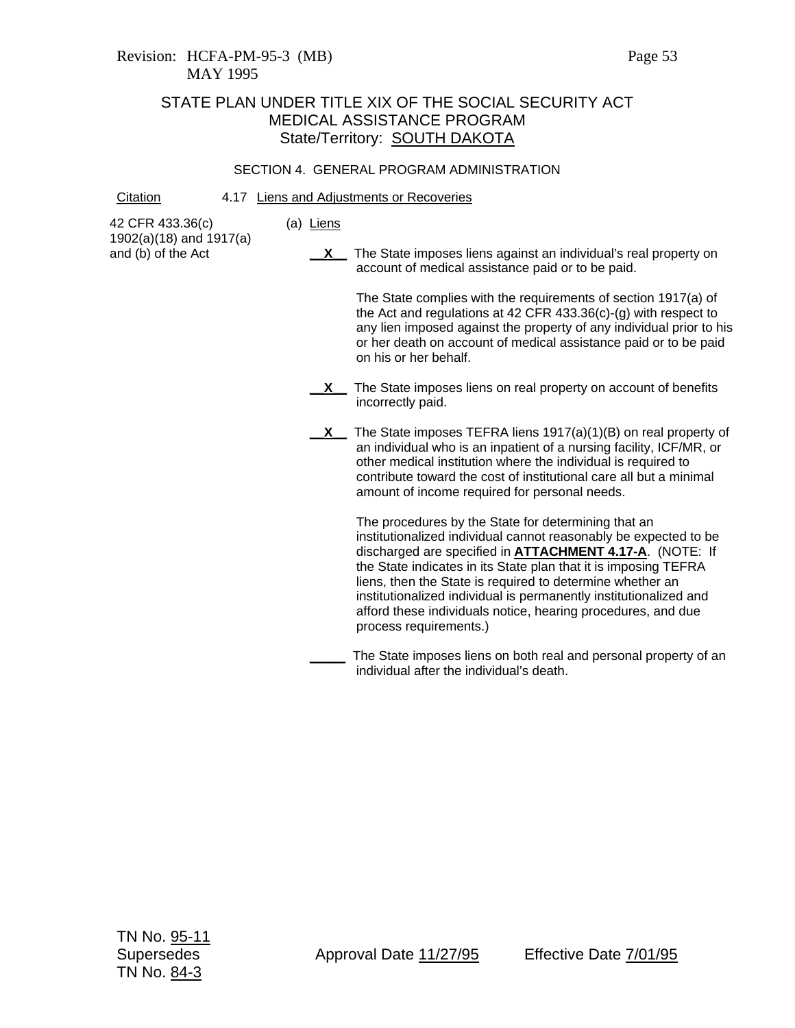# STATE PLAN UNDER TITLE XIX OF THE SOCIAL SECURITY ACT MEDICAL ASSISTANCE PROGRAM State/Territory: SOUTH DAKOTA

## SECTION 4. GENERAL PROGRAM ADMINISTRATION

#### Citation 4.17 Liens and Adjustments or Recoveries

(a) Liens

42 CFR 433.36(c) 1902(a)(18) and 1917(a) and (b) of the Act

**X** The State imposes liens against an individual's real property on account of medical assistance paid or to be paid.

> The State complies with the requirements of section 1917(a) of the Act and regulations at 42 CFR 433.36(c)-(g) with respect to any lien imposed against the property of any individual prior to his or her death on account of medical assistance paid or to be paid on his or her behalf.

- **X** The State imposes liens on real property on account of benefits incorrectly paid.
- **X** The State imposes TEFRA liens 1917(a)(1)(B) on real property of an individual who is an inpatient of a nursing facility, ICF/MR, or other medical institution where the individual is required to contribute toward the cost of institutional care all but a minimal amount of income required for personal needs.

The procedures by the State for determining that an institutionalized individual cannot reasonably be expected to be discharged are specified in **ATTACHMENT 4.17-A**. (NOTE: If the State indicates in its State plan that it is imposing TEFRA liens, then the State is required to determine whether an institutionalized individual is permanently institutionalized and afford these individuals notice, hearing procedures, and due process requirements.)

**\_\_\_\_\_** The State imposes liens on both real and personal property of an individual after the individual's death.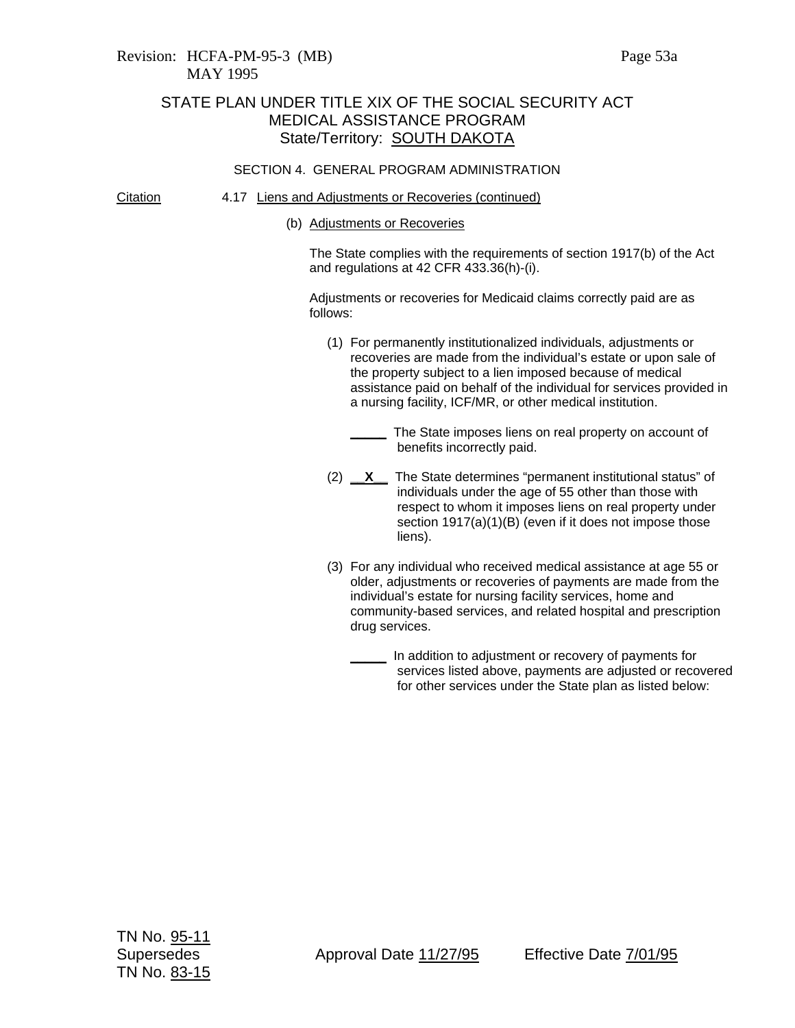- Citation 4.17 Liens and Adjustments or Recoveries (continued)
	- (b) Adjustments or Recoveries

The State complies with the requirements of section 1917(b) of the Act and regulations at 42 CFR 433.36(h)-(i).

Adjustments or recoveries for Medicaid claims correctly paid are as follows:

- (1) For permanently institutionalized individuals, adjustments or recoveries are made from the individual's estate or upon sale of the property subject to a lien imposed because of medical assistance paid on behalf of the individual for services provided in a nursing facility, ICF/MR, or other medical institution.
	- **\_\_\_\_\_** The State imposes liens on real property on account of benefits incorrectly paid.
- (2) **\_\_X\_\_** The State determines "permanent institutional status" of individuals under the age of 55 other than those with respect to whom it imposes liens on real property under section 1917(a)(1)(B) (even if it does not impose those liens).
- (3) For any individual who received medical assistance at age 55 or older, adjustments or recoveries of payments are made from the individual's estate for nursing facility services, home and community-based services, and related hospital and prescription drug services.
	- **\_\_\_\_\_** In addition to adjustment or recovery of payments for services listed above, payments are adjusted or recovered for other services under the State plan as listed below: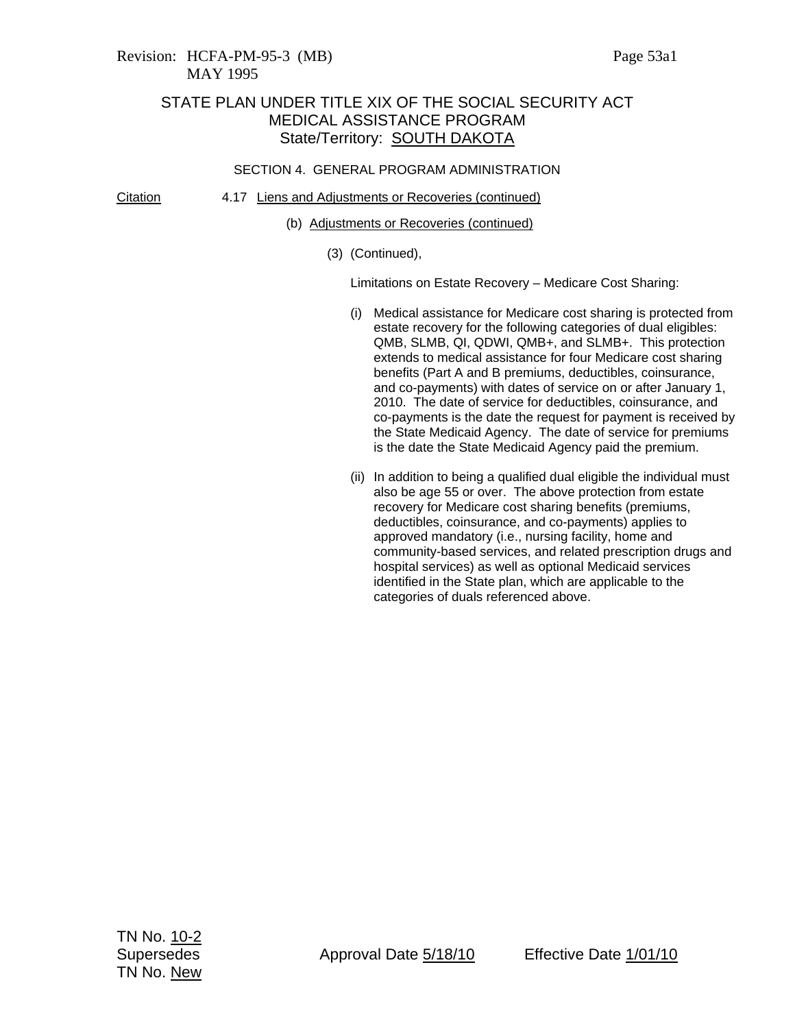Citation 4.17 Liens and Adjustments or Recoveries (continued)

- (b) Adjustments or Recoveries (continued)
	- (3) (Continued),

Limitations on Estate Recovery – Medicare Cost Sharing:

- (i) Medical assistance for Medicare cost sharing is protected from estate recovery for the following categories of dual eligibles: QMB, SLMB, QI, QDWI, QMB+, and SLMB+. This protection extends to medical assistance for four Medicare cost sharing benefits (Part A and B premiums, deductibles, coinsurance, and co-payments) with dates of service on or after January 1, 2010. The date of service for deductibles, coinsurance, and co-payments is the date the request for payment is received by the State Medicaid Agency. The date of service for premiums is the date the State Medicaid Agency paid the premium.
- (ii) In addition to being a qualified dual eligible the individual must also be age 55 or over. The above protection from estate recovery for Medicare cost sharing benefits (premiums, deductibles, coinsurance, and co-payments) applies to approved mandatory (i.e., nursing facility, home and community-based services, and related prescription drugs and hospital services) as well as optional Medicaid services identified in the State plan, which are applicable to the categories of duals referenced above.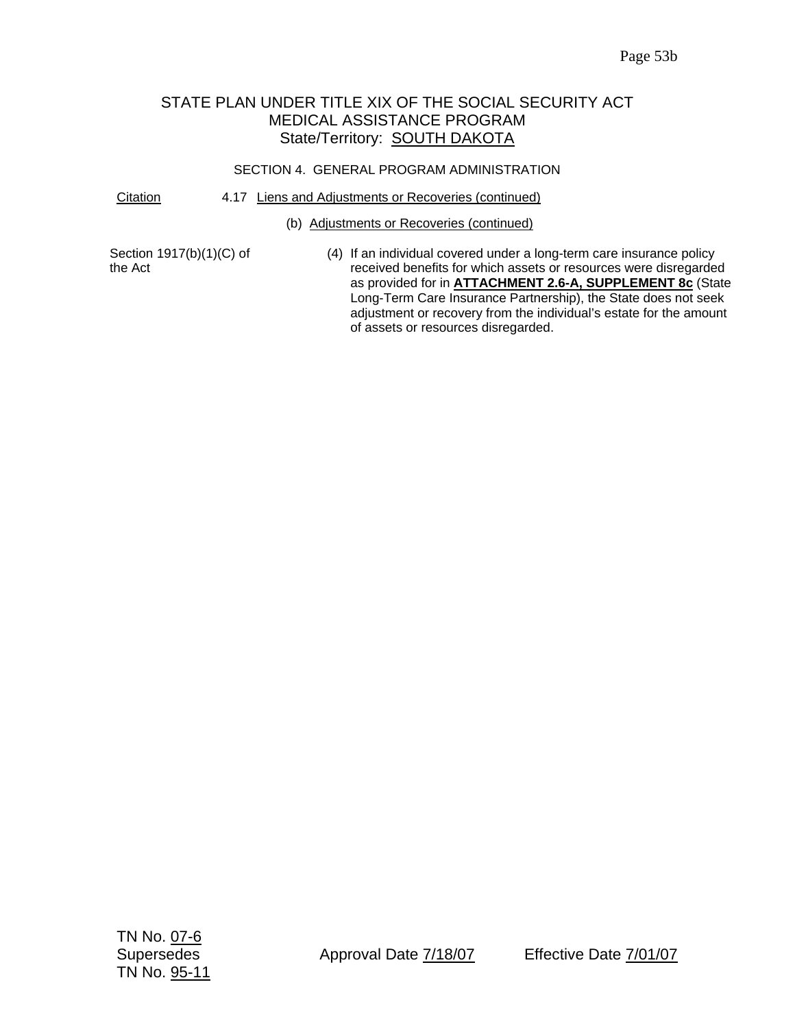# STATE PLAN UNDER TITLE XIX OF THE SOCIAL SECURITY ACT MEDICAL ASSISTANCE PROGRAM State/Territory: **SOUTH DAKOTA**

# SECTION 4. GENERAL PROGRAM ADMINISTRATION

## Citation 4.17 Liens and Adjustments or Recoveries (continued)

### (b) Adjustments or Recoveries (continued)

Section 1917(b)(1)(C) of the Act

(4) If an individual covered under a long-term care insurance policy received benefits for which assets or resources were disregarded as provided for in **ATTACHMENT 2.6-A, SUPPLEMENT 8c** (State Long-Term Care Insurance Partnership), the State does not seek adjustment or recovery from the individual's estate for the amount of assets or resources disregarded.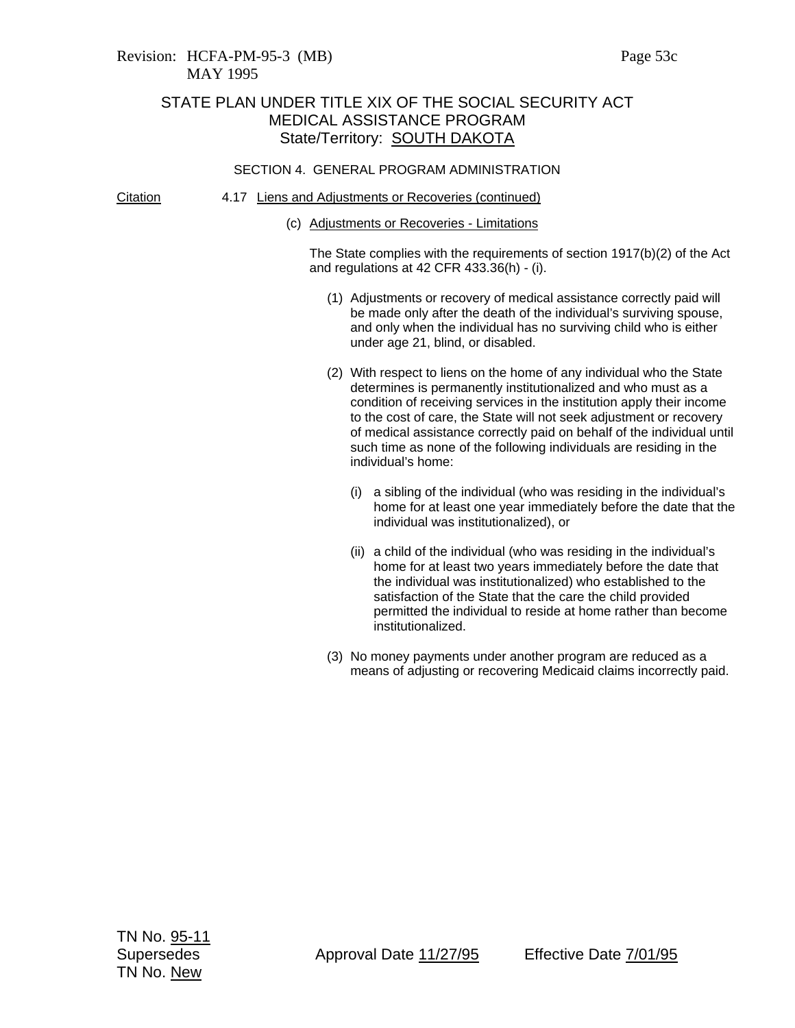Citation 4.17 Liens and Adjustments or Recoveries (continued)

(c) Adjustments or Recoveries - Limitations

The State complies with the requirements of section 1917(b)(2) of the Act and regulations at 42 CFR 433.36(h) - (i).

- (1) Adjustments or recovery of medical assistance correctly paid will be made only after the death of the individual's surviving spouse, and only when the individual has no surviving child who is either under age 21, blind, or disabled.
- (2) With respect to liens on the home of any individual who the State determines is permanently institutionalized and who must as a condition of receiving services in the institution apply their income to the cost of care, the State will not seek adjustment or recovery of medical assistance correctly paid on behalf of the individual until such time as none of the following individuals are residing in the individual's home:
	- (i) a sibling of the individual (who was residing in the individual's home for at least one year immediately before the date that the individual was institutionalized), or
	- (ii) a child of the individual (who was residing in the individual's home for at least two years immediately before the date that the individual was institutionalized) who established to the satisfaction of the State that the care the child provided permitted the individual to reside at home rather than become institutionalized.
- (3) No money payments under another program are reduced as a means of adjusting or recovering Medicaid claims incorrectly paid.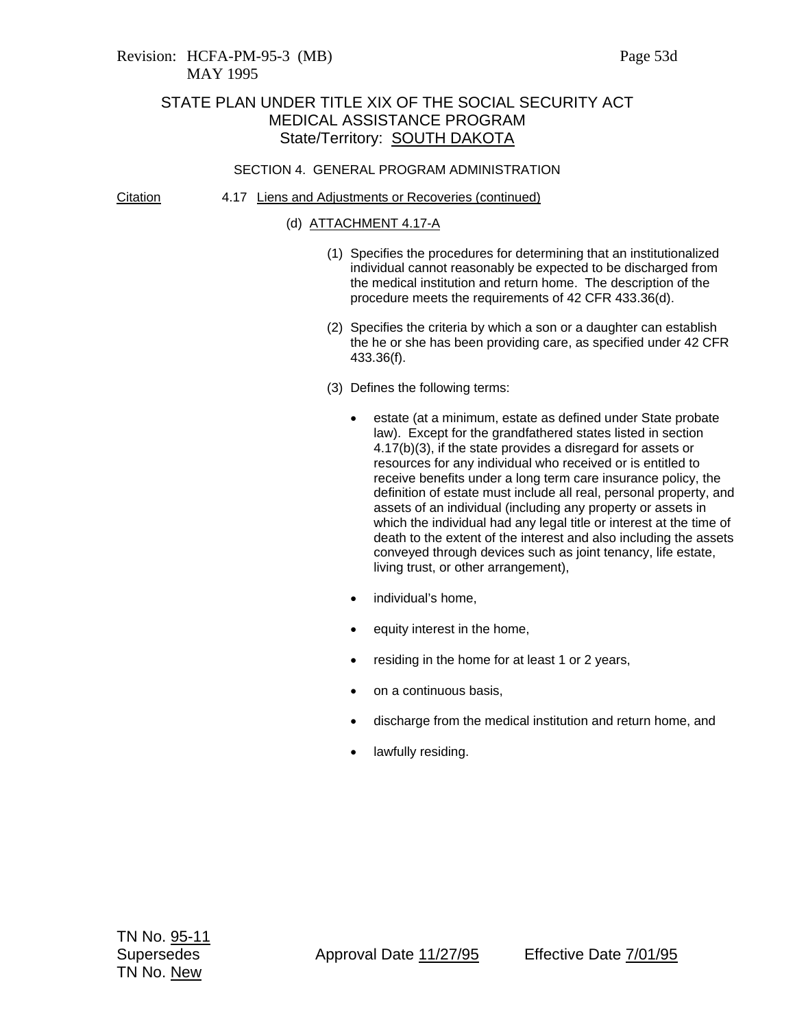#### Citation 4.17 Liens and Adjustments or Recoveries (continued)

## (d) ATTACHMENT 4.17-A

- (1) Specifies the procedures for determining that an institutionalized individual cannot reasonably be expected to be discharged from the medical institution and return home. The description of the procedure meets the requirements of 42 CFR 433.36(d).
- (2) Specifies the criteria by which a son or a daughter can establish the he or she has been providing care, as specified under 42 CFR 433.36(f).
- (3) Defines the following terms:
	- estate (at a minimum, estate as defined under State probate law). Except for the grandfathered states listed in section 4.17(b)(3), if the state provides a disregard for assets or resources for any individual who received or is entitled to receive benefits under a long term care insurance policy, the definition of estate must include all real, personal property, and assets of an individual (including any property or assets in which the individual had any legal title or interest at the time of death to the extent of the interest and also including the assets conveyed through devices such as joint tenancy, life estate, living trust, or other arrangement),
	- individual's home,
	- equity interest in the home,
	- residing in the home for at least 1 or 2 years,
	- on a continuous basis,
	- discharge from the medical institution and return home, and
	- lawfully residing.